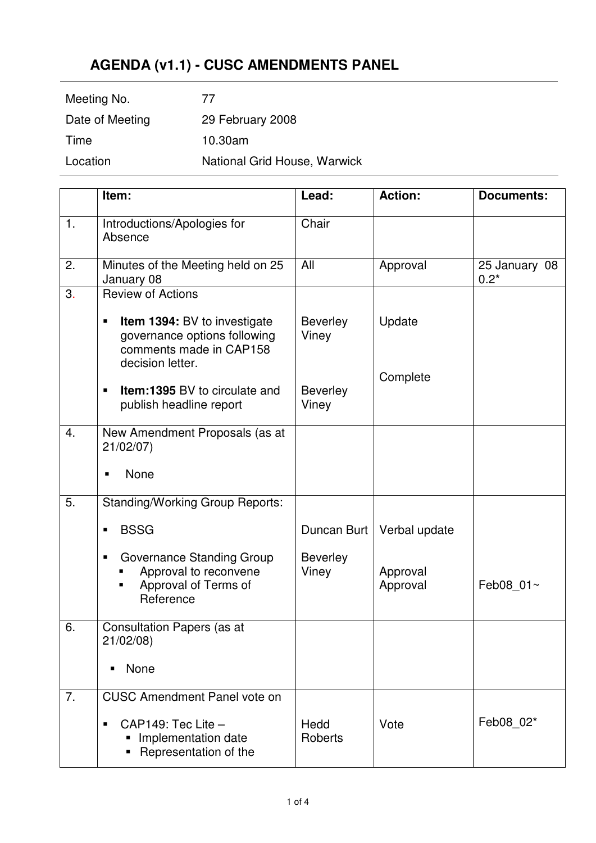## **AGENDA (v1.1) - CUSC AMENDMENTS PANEL**

| Meeting No.     | 77                           |
|-----------------|------------------------------|
| Date of Meeting | 29 February 2008             |
| Time            | 10.30am                      |
| Location        | National Grid House, Warwick |
|                 |                              |

|    | Item:                                                                                                                   | Lead:                    | <b>Action:</b>       | <b>Documents:</b>       |
|----|-------------------------------------------------------------------------------------------------------------------------|--------------------------|----------------------|-------------------------|
| 1. | Introductions/Apologies for<br>Absence                                                                                  | Chair                    |                      |                         |
| 2. | Minutes of the Meeting held on 25<br>January 08                                                                         | All                      | Approval             | 25 January 08<br>$0.2*$ |
| 3. | <b>Review of Actions</b>                                                                                                |                          |                      |                         |
|    | <b>Item 1394: BV to investigate</b><br>п<br>governance options following<br>comments made in CAP158<br>decision letter. | <b>Beverley</b><br>Viney | Update               |                         |
|    | <b>Item:1395 BV to circulate and</b><br>$\blacksquare$<br>publish headline report                                       | <b>Beverley</b><br>Viney | Complete             |                         |
| 4. | New Amendment Proposals (as at<br>21/02/07)                                                                             |                          |                      |                         |
|    | None<br>п                                                                                                               |                          |                      |                         |
| 5. | <b>Standing/Working Group Reports:</b>                                                                                  |                          |                      |                         |
|    | <b>BSSG</b><br>٠                                                                                                        | Duncan Burt              | Verbal update        |                         |
|    | Governance Standing Group<br>Approval to reconvene<br>Approval of Terms of<br>Reference                                 | <b>Beverley</b><br>Viney | Approval<br>Approval | Feb08 01~               |
| 6. | <b>Consultation Papers (as at</b><br>21/02/08)                                                                          |                          |                      |                         |
|    | None                                                                                                                    |                          |                      |                         |
| 7. | <b>CUSC Amendment Panel vote on</b>                                                                                     |                          |                      |                         |
|    | $CAP149:$ Tec Lite $-$<br>٠<br>Implementation date<br>ш<br>Representation of the                                        | Hedd<br>Roberts          | Vote                 | Feb08 02*               |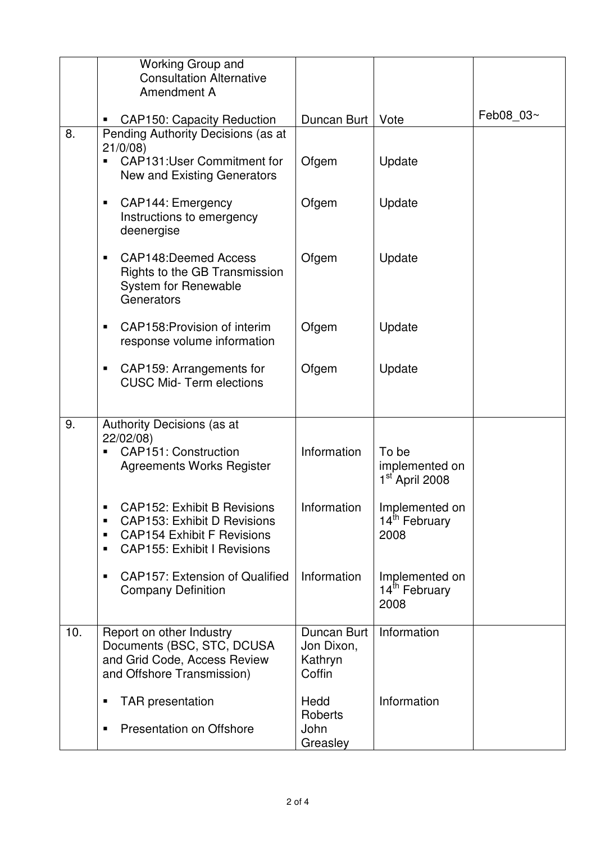|     | Working Group and<br><b>Consultation Alternative</b><br>Amendment A                                                                                                                               |                                                |                                                       |           |
|-----|---------------------------------------------------------------------------------------------------------------------------------------------------------------------------------------------------|------------------------------------------------|-------------------------------------------------------|-----------|
| 8.  | <b>CAP150: Capacity Reduction</b>                                                                                                                                                                 | Duncan Burt                                    | Vote                                                  | Feb08 03~ |
|     | Pending Authority Decisions (as at<br>21/0/08<br><b>CAP131:User Commitment for</b><br>New and Existing Generators                                                                                 | Ofgem                                          | Update                                                |           |
|     | CAP144: Emergency<br>п<br>Instructions to emergency<br>deenergise                                                                                                                                 | Ofgem                                          | Update                                                |           |
|     | <b>CAP148:Deemed Access</b><br>Rights to the GB Transmission<br>System for Renewable<br>Generators                                                                                                | Ofgem                                          | Update                                                |           |
|     | CAP158: Provision of interim<br>response volume information                                                                                                                                       | Ofgem                                          | Update                                                |           |
|     | CAP159: Arrangements for<br><b>CUSC Mid-Term elections</b>                                                                                                                                        | Ofgem                                          | Update                                                |           |
| 9.  | Authority Decisions (as at<br>22/02/08)<br><b>CAP151: Construction</b><br><b>Agreements Works Register</b>                                                                                        | Information                                    | To be<br>implemented on<br>1 <sup>st</sup> April 2008 |           |
|     | <b>CAP152: Exhibit B Revisions</b><br>$\blacksquare$<br><b>CAP153: Exhibit D Revisions</b><br>$\blacksquare$<br><b>CAP154 Exhibit F Revisions</b><br>٠<br><b>CAP155: Exhibit I Revisions</b><br>٠ | Information                                    | Implemented on<br>14 <sup>th</sup> February<br>2008   |           |
|     | <b>CAP157: Extension of Qualified</b><br>$\blacksquare$<br><b>Company Definition</b>                                                                                                              | Information                                    | Implemented on<br>14 <sup>th</sup> February<br>2008   |           |
| 10. | Report on other Industry<br>Documents (BSC, STC, DCUSA<br>and Grid Code, Access Review<br>and Offshore Transmission)                                                                              | Duncan Burt<br>Jon Dixon,<br>Kathryn<br>Coffin | Information                                           |           |
|     | <b>TAR</b> presentation<br>п<br><b>Presentation on Offshore</b><br>п                                                                                                                              | Hedd<br>Roberts<br>John<br>Greasley            | Information                                           |           |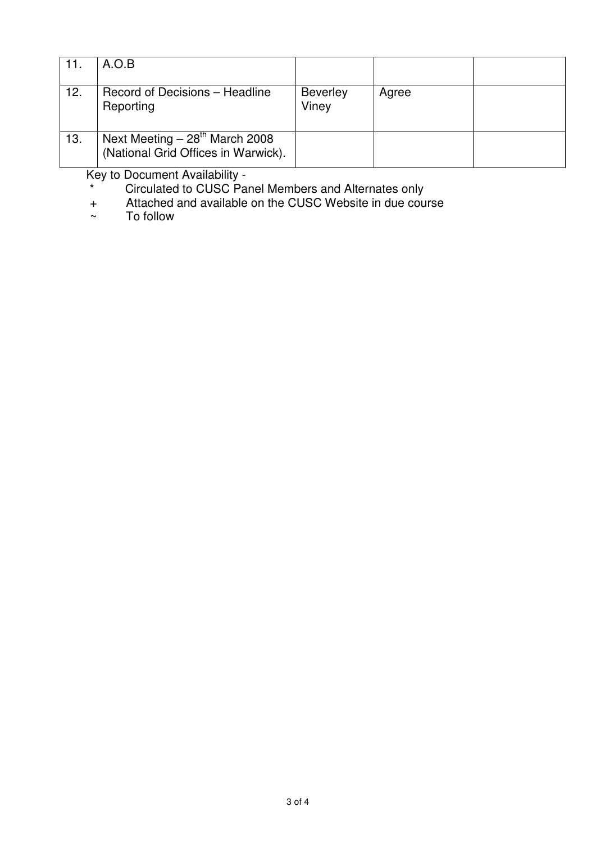| 11. | A.O.B                                                                  |                          |       |  |
|-----|------------------------------------------------------------------------|--------------------------|-------|--|
| 12. | Record of Decisions - Headline<br>Reporting                            | <b>Beverley</b><br>Viney | Agree |  |
| 13. | Next Meeting $-28th$ March 2008<br>(National Grid Offices in Warwick). |                          |       |  |

Key to Document Availability -

\* Circulated to CUSC Panel Members and Alternates only

+ Attached and available on the CUSC Website in due course

~ To follow